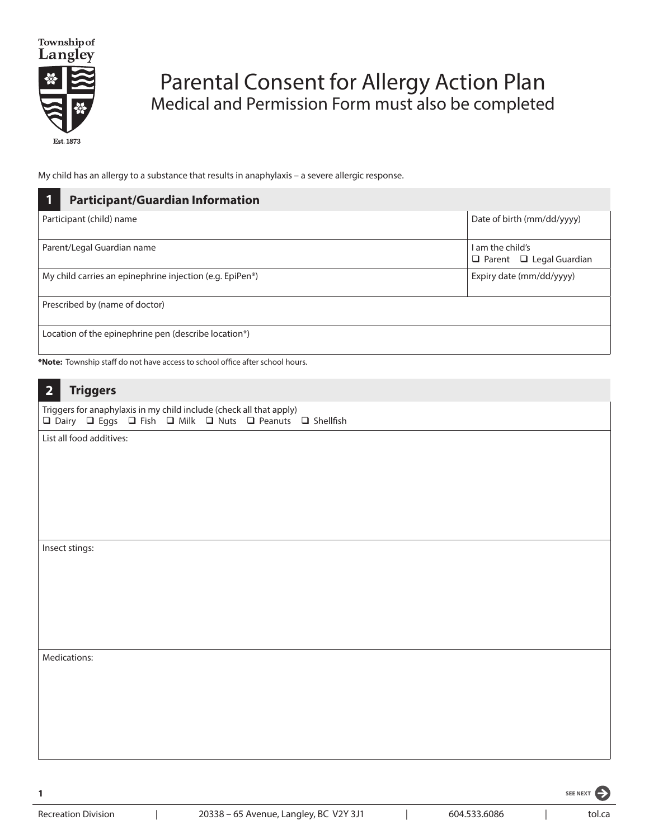

## Parental Consent for Allergy Action Plan Medical and Permission Form must also be completed

My child has an allergy to a substance that results in anaphylaxis – a severe allergic response.

| <b>Participant/Guardian Information</b><br>1                                                                                     |                                                         |
|----------------------------------------------------------------------------------------------------------------------------------|---------------------------------------------------------|
| Participant (child) name                                                                                                         | Date of birth (mm/dd/yyyy)                              |
| Parent/Legal Guardian name                                                                                                       | I am the child's<br>$\Box$ Parent $\Box$ Legal Guardian |
| My child carries an epinephrine injection (e.g. EpiPen <sup>®</sup> )                                                            | Expiry date (mm/dd/yyyy)                                |
| Prescribed by (name of doctor)                                                                                                   |                                                         |
| Location of the epinephrine pen (describe location*)                                                                             |                                                         |
| *Note: Township staff do not have access to school office after school hours.                                                    |                                                         |
| <b>Triggers</b><br>$\overline{2}$                                                                                                |                                                         |
| Triggers for anaphylaxis in my child include (check all that apply)<br>□ Dairy □ Eggs □ Fish □ Milk □ Nuts □ Peanuts □ Shellfish |                                                         |
| List all food additives:                                                                                                         |                                                         |
| Insect stings:                                                                                                                   |                                                         |
| Medications:                                                                                                                     |                                                         |